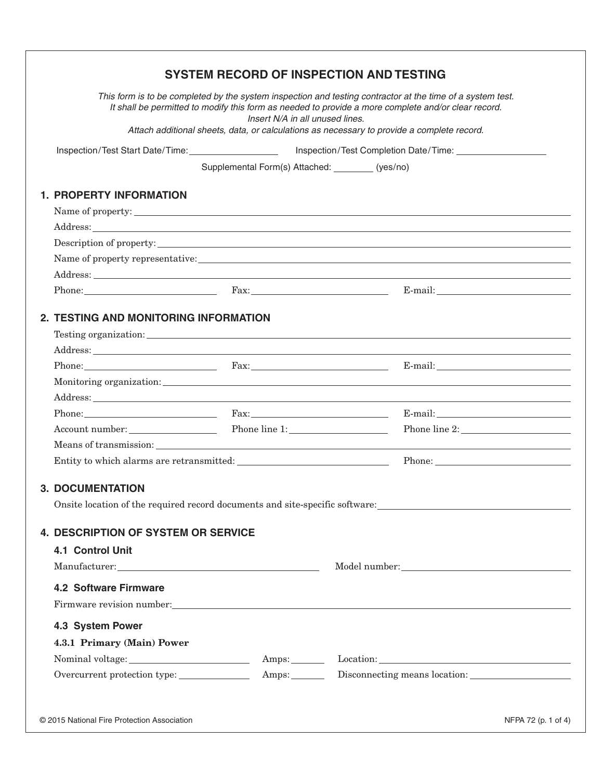| This form is to be completed by the system inspection and testing contractor at the time of a system test.<br>It shall be permitted to modify this form as needed to provide a more complete and/or clear record.<br>Insert N/A in all unused lines.<br>Attach additional sheets, data, or calculations as necessary to provide a complete record.<br>Supplemental Form(s) Attached: _________ (yes/no)<br><b>1. PROPERTY INFORMATION</b><br>Name of property:<br>Address: Address: Address: Address: Address: Address: Address: Address: Address: Address: Address: Address: Address: Address: Address: Address: Address: Address: Address: Address: Address: Address: Address: Address: Addres<br>Description of property:<br>$\text{Phone:}$ $\text{Fax:}$ $\text{Fax:}$ $\text{Fax:}$ $\text{E-mail:}$<br>2. TESTING AND MONITORING INFORMATION<br>Phone: Fax: Fax:<br>Account number: Phone line 1:<br>Entity to which alarms are retransmitted:<br><b>3. DOCUMENTATION</b><br>Onsite location of the required record documents and site-specific software:<br><b>4. DESCRIPTION OF SYSTEM OR SERVICE</b><br><b>4.1 Control Unit</b><br>$\label{eq:1} \text{Manufacturer:}\underline{\hspace{2cm}}\underline{\hspace{2cm}}\underline{\hspace{2cm}}\underline{\hspace{2cm}}\underline{\hspace{2cm}}\underline{\hspace{2cm}}\underline{\hspace{2cm}}\underline{\hspace{2cm}}\underline{\hspace{2cm}}\underline{\hspace{2cm}}\underline{\hspace{2cm}}\underline{\hspace{2cm}}\underline{\hspace{2cm}}\underline{\hspace{2cm}}\underline{\hspace{2cm}}\underline{\hspace{2cm}}\underline{\hspace{2cm}}\underline{\hspace{2cm}}\underline{\hspace{2cm}}\underline{\hspace{2cm}}\underline{\hspace{2cm}}\underline{\hspace{2cm}}\underline{\hspace{$<br><b>4.2 Software Firmware</b><br>Firmware revision number:<br>4.3 System Power<br>4.3.1 Primary (Main) Power<br>Nominal voltage:<br>Amps: Location: Location: |  | <b>SYSTEM RECORD OF INSPECTION AND TESTING</b> |
|---------------------------------------------------------------------------------------------------------------------------------------------------------------------------------------------------------------------------------------------------------------------------------------------------------------------------------------------------------------------------------------------------------------------------------------------------------------------------------------------------------------------------------------------------------------------------------------------------------------------------------------------------------------------------------------------------------------------------------------------------------------------------------------------------------------------------------------------------------------------------------------------------------------------------------------------------------------------------------------------------------------------------------------------------------------------------------------------------------------------------------------------------------------------------------------------------------------------------------------------------------------------------------------------------------------------------------------------------------------------------------------------------------------------------------------------------------------------------------------------------------------------------------------------------------------------------------------------------------------------------------------------------------------------------------------------------------------------------------------------------------------------------------------------------------------------------------------------------------------------------------------------------------------------|--|------------------------------------------------|
|                                                                                                                                                                                                                                                                                                                                                                                                                                                                                                                                                                                                                                                                                                                                                                                                                                                                                                                                                                                                                                                                                                                                                                                                                                                                                                                                                                                                                                                                                                                                                                                                                                                                                                                                                                                                                                                                                                                     |  |                                                |
|                                                                                                                                                                                                                                                                                                                                                                                                                                                                                                                                                                                                                                                                                                                                                                                                                                                                                                                                                                                                                                                                                                                                                                                                                                                                                                                                                                                                                                                                                                                                                                                                                                                                                                                                                                                                                                                                                                                     |  |                                                |
|                                                                                                                                                                                                                                                                                                                                                                                                                                                                                                                                                                                                                                                                                                                                                                                                                                                                                                                                                                                                                                                                                                                                                                                                                                                                                                                                                                                                                                                                                                                                                                                                                                                                                                                                                                                                                                                                                                                     |  |                                                |
|                                                                                                                                                                                                                                                                                                                                                                                                                                                                                                                                                                                                                                                                                                                                                                                                                                                                                                                                                                                                                                                                                                                                                                                                                                                                                                                                                                                                                                                                                                                                                                                                                                                                                                                                                                                                                                                                                                                     |  |                                                |
|                                                                                                                                                                                                                                                                                                                                                                                                                                                                                                                                                                                                                                                                                                                                                                                                                                                                                                                                                                                                                                                                                                                                                                                                                                                                                                                                                                                                                                                                                                                                                                                                                                                                                                                                                                                                                                                                                                                     |  |                                                |
|                                                                                                                                                                                                                                                                                                                                                                                                                                                                                                                                                                                                                                                                                                                                                                                                                                                                                                                                                                                                                                                                                                                                                                                                                                                                                                                                                                                                                                                                                                                                                                                                                                                                                                                                                                                                                                                                                                                     |  |                                                |
|                                                                                                                                                                                                                                                                                                                                                                                                                                                                                                                                                                                                                                                                                                                                                                                                                                                                                                                                                                                                                                                                                                                                                                                                                                                                                                                                                                                                                                                                                                                                                                                                                                                                                                                                                                                                                                                                                                                     |  |                                                |
|                                                                                                                                                                                                                                                                                                                                                                                                                                                                                                                                                                                                                                                                                                                                                                                                                                                                                                                                                                                                                                                                                                                                                                                                                                                                                                                                                                                                                                                                                                                                                                                                                                                                                                                                                                                                                                                                                                                     |  |                                                |
|                                                                                                                                                                                                                                                                                                                                                                                                                                                                                                                                                                                                                                                                                                                                                                                                                                                                                                                                                                                                                                                                                                                                                                                                                                                                                                                                                                                                                                                                                                                                                                                                                                                                                                                                                                                                                                                                                                                     |  |                                                |
|                                                                                                                                                                                                                                                                                                                                                                                                                                                                                                                                                                                                                                                                                                                                                                                                                                                                                                                                                                                                                                                                                                                                                                                                                                                                                                                                                                                                                                                                                                                                                                                                                                                                                                                                                                                                                                                                                                                     |  |                                                |
|                                                                                                                                                                                                                                                                                                                                                                                                                                                                                                                                                                                                                                                                                                                                                                                                                                                                                                                                                                                                                                                                                                                                                                                                                                                                                                                                                                                                                                                                                                                                                                                                                                                                                                                                                                                                                                                                                                                     |  |                                                |
|                                                                                                                                                                                                                                                                                                                                                                                                                                                                                                                                                                                                                                                                                                                                                                                                                                                                                                                                                                                                                                                                                                                                                                                                                                                                                                                                                                                                                                                                                                                                                                                                                                                                                                                                                                                                                                                                                                                     |  |                                                |
|                                                                                                                                                                                                                                                                                                                                                                                                                                                                                                                                                                                                                                                                                                                                                                                                                                                                                                                                                                                                                                                                                                                                                                                                                                                                                                                                                                                                                                                                                                                                                                                                                                                                                                                                                                                                                                                                                                                     |  |                                                |
|                                                                                                                                                                                                                                                                                                                                                                                                                                                                                                                                                                                                                                                                                                                                                                                                                                                                                                                                                                                                                                                                                                                                                                                                                                                                                                                                                                                                                                                                                                                                                                                                                                                                                                                                                                                                                                                                                                                     |  |                                                |
|                                                                                                                                                                                                                                                                                                                                                                                                                                                                                                                                                                                                                                                                                                                                                                                                                                                                                                                                                                                                                                                                                                                                                                                                                                                                                                                                                                                                                                                                                                                                                                                                                                                                                                                                                                                                                                                                                                                     |  |                                                |
|                                                                                                                                                                                                                                                                                                                                                                                                                                                                                                                                                                                                                                                                                                                                                                                                                                                                                                                                                                                                                                                                                                                                                                                                                                                                                                                                                                                                                                                                                                                                                                                                                                                                                                                                                                                                                                                                                                                     |  |                                                |
|                                                                                                                                                                                                                                                                                                                                                                                                                                                                                                                                                                                                                                                                                                                                                                                                                                                                                                                                                                                                                                                                                                                                                                                                                                                                                                                                                                                                                                                                                                                                                                                                                                                                                                                                                                                                                                                                                                                     |  | Phone line 2:                                  |
|                                                                                                                                                                                                                                                                                                                                                                                                                                                                                                                                                                                                                                                                                                                                                                                                                                                                                                                                                                                                                                                                                                                                                                                                                                                                                                                                                                                                                                                                                                                                                                                                                                                                                                                                                                                                                                                                                                                     |  |                                                |
|                                                                                                                                                                                                                                                                                                                                                                                                                                                                                                                                                                                                                                                                                                                                                                                                                                                                                                                                                                                                                                                                                                                                                                                                                                                                                                                                                                                                                                                                                                                                                                                                                                                                                                                                                                                                                                                                                                                     |  |                                                |
|                                                                                                                                                                                                                                                                                                                                                                                                                                                                                                                                                                                                                                                                                                                                                                                                                                                                                                                                                                                                                                                                                                                                                                                                                                                                                                                                                                                                                                                                                                                                                                                                                                                                                                                                                                                                                                                                                                                     |  |                                                |
|                                                                                                                                                                                                                                                                                                                                                                                                                                                                                                                                                                                                                                                                                                                                                                                                                                                                                                                                                                                                                                                                                                                                                                                                                                                                                                                                                                                                                                                                                                                                                                                                                                                                                                                                                                                                                                                                                                                     |  |                                                |
|                                                                                                                                                                                                                                                                                                                                                                                                                                                                                                                                                                                                                                                                                                                                                                                                                                                                                                                                                                                                                                                                                                                                                                                                                                                                                                                                                                                                                                                                                                                                                                                                                                                                                                                                                                                                                                                                                                                     |  |                                                |
|                                                                                                                                                                                                                                                                                                                                                                                                                                                                                                                                                                                                                                                                                                                                                                                                                                                                                                                                                                                                                                                                                                                                                                                                                                                                                                                                                                                                                                                                                                                                                                                                                                                                                                                                                                                                                                                                                                                     |  |                                                |
|                                                                                                                                                                                                                                                                                                                                                                                                                                                                                                                                                                                                                                                                                                                                                                                                                                                                                                                                                                                                                                                                                                                                                                                                                                                                                                                                                                                                                                                                                                                                                                                                                                                                                                                                                                                                                                                                                                                     |  |                                                |
|                                                                                                                                                                                                                                                                                                                                                                                                                                                                                                                                                                                                                                                                                                                                                                                                                                                                                                                                                                                                                                                                                                                                                                                                                                                                                                                                                                                                                                                                                                                                                                                                                                                                                                                                                                                                                                                                                                                     |  |                                                |
|                                                                                                                                                                                                                                                                                                                                                                                                                                                                                                                                                                                                                                                                                                                                                                                                                                                                                                                                                                                                                                                                                                                                                                                                                                                                                                                                                                                                                                                                                                                                                                                                                                                                                                                                                                                                                                                                                                                     |  |                                                |
|                                                                                                                                                                                                                                                                                                                                                                                                                                                                                                                                                                                                                                                                                                                                                                                                                                                                                                                                                                                                                                                                                                                                                                                                                                                                                                                                                                                                                                                                                                                                                                                                                                                                                                                                                                                                                                                                                                                     |  |                                                |
|                                                                                                                                                                                                                                                                                                                                                                                                                                                                                                                                                                                                                                                                                                                                                                                                                                                                                                                                                                                                                                                                                                                                                                                                                                                                                                                                                                                                                                                                                                                                                                                                                                                                                                                                                                                                                                                                                                                     |  |                                                |
|                                                                                                                                                                                                                                                                                                                                                                                                                                                                                                                                                                                                                                                                                                                                                                                                                                                                                                                                                                                                                                                                                                                                                                                                                                                                                                                                                                                                                                                                                                                                                                                                                                                                                                                                                                                                                                                                                                                     |  |                                                |
|                                                                                                                                                                                                                                                                                                                                                                                                                                                                                                                                                                                                                                                                                                                                                                                                                                                                                                                                                                                                                                                                                                                                                                                                                                                                                                                                                                                                                                                                                                                                                                                                                                                                                                                                                                                                                                                                                                                     |  |                                                |
|                                                                                                                                                                                                                                                                                                                                                                                                                                                                                                                                                                                                                                                                                                                                                                                                                                                                                                                                                                                                                                                                                                                                                                                                                                                                                                                                                                                                                                                                                                                                                                                                                                                                                                                                                                                                                                                                                                                     |  |                                                |
|                                                                                                                                                                                                                                                                                                                                                                                                                                                                                                                                                                                                                                                                                                                                                                                                                                                                                                                                                                                                                                                                                                                                                                                                                                                                                                                                                                                                                                                                                                                                                                                                                                                                                                                                                                                                                                                                                                                     |  |                                                |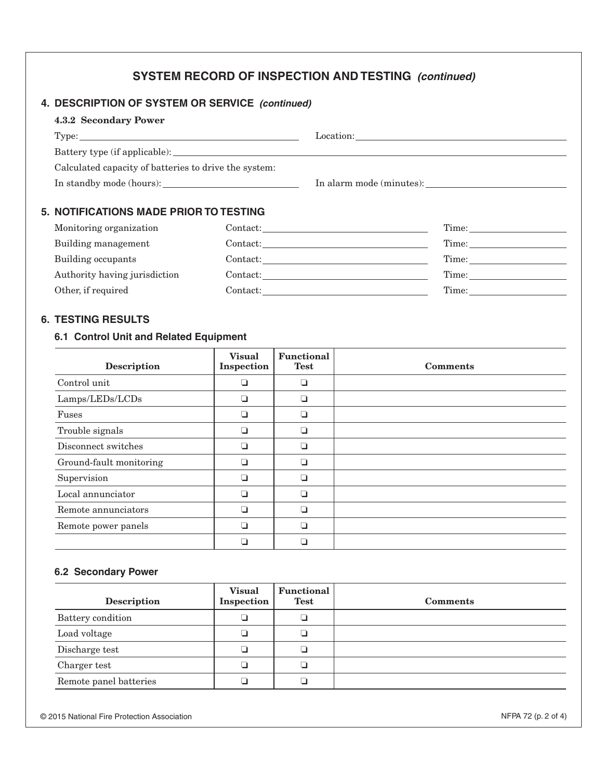# SYSTEM RECORD OF INSPECTION AND TESTING (continued)

# 4. DESCRIPTION OF SYSTEM OR SERVICE (continued)

| 4.3.2 Secondary Power                                 |  |
|-------------------------------------------------------|--|
| Type:                                                 |  |
|                                                       |  |
| Calculated capacity of batteries to drive the system: |  |
|                                                       |  |
| 5. NOTIFICATIONS MADE PRIOR TO TESTING                |  |

| Monitoring organization       | Contact: | Time: |
|-------------------------------|----------|-------|
| Building management           | Contact: | Time: |
| Building occupants            | Contact: | Time: |
| Authority having jurisdiction | Contact: | Time: |
| Other, if required            | Contact: | Time: |
|                               |          |       |

### **6. TESTING RESULTS**

# 6.1 Control Unit and Related Equipment

| <b>Description</b>      | <b>Visual</b><br>Inspection | <b>Functional</b><br><b>Test</b> | <b>Comments</b> |
|-------------------------|-----------------------------|----------------------------------|-----------------|
| Control unit            |                             | ❏                                |                 |
| Lamps/LEDs/LCDs         |                             | ❏                                |                 |
| Fuses                   |                             | ❏                                |                 |
| Trouble signals         | - 1                         | ❏                                |                 |
| Disconnect switches     | ⊔                           | ❏                                |                 |
| Ground-fault monitoring |                             | ❏                                |                 |
| Supervision             |                             | ❏                                |                 |
| Local annunciator       |                             | ❏                                |                 |
| Remote annunciators     |                             | ❏                                |                 |
| Remote power panels     |                             | □                                |                 |
|                         |                             |                                  |                 |

### **6.2 Secondary Power**

| <b>Description</b>     | <b>Visual</b><br>Inspection | <b>Functional</b><br><b>Test</b> | <b>Comments</b> |
|------------------------|-----------------------------|----------------------------------|-----------------|
| Battery condition      |                             |                                  |                 |
| Load voltage           |                             |                                  |                 |
| Discharge test         |                             |                                  |                 |
| Charger test           |                             |                                  |                 |
| Remote panel batteries |                             |                                  |                 |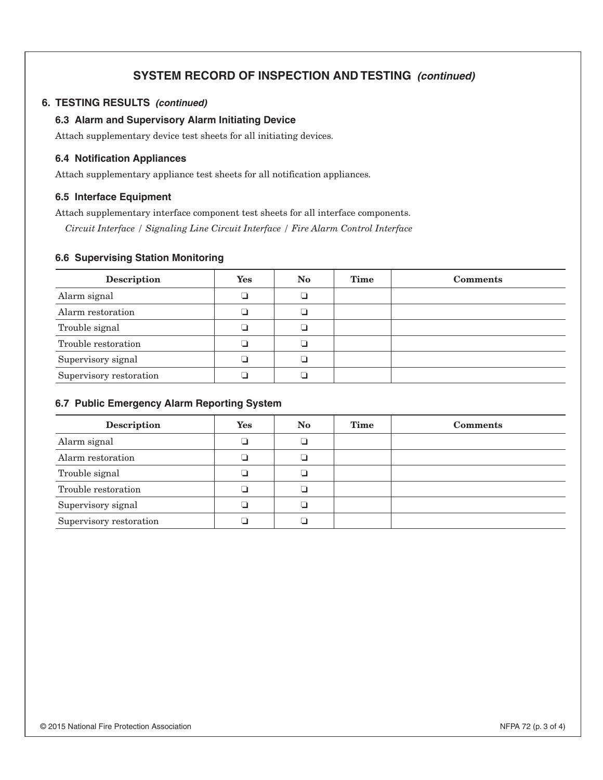# **SYSTEM RECORD OF INSPECTION AND TESTING (continued)**

#### 6. TESTING RESULTS (continued)

#### 6.3 Alarm and Supervisory Alarm Initiating Device

Attach supplementary device test sheets for all initiating devices.

#### **6.4 Notification Appliances**

Attach supplementary appliance test sheets for all notification appliances.

#### 6.5 Interface Equipment

Attach supplementary interface component test sheets for all interface components.

Circuit Interface / Signaling Line Circuit Interface / Fire Alarm Control Interface

#### **6.6 Supervising Station Monitoring**

| <b>Description</b>      | Yes | N <sub>o</sub> | Time | <b>Comments</b> |
|-------------------------|-----|----------------|------|-----------------|
| Alarm signal            |     |                |      |                 |
| Alarm restoration       |     |                |      |                 |
| Trouble signal          |     |                |      |                 |
| Trouble restoration     |     |                |      |                 |
| Supervisory signal      |     |                |      |                 |
| Supervisory restoration |     |                |      |                 |

#### 6.7 Public Emergency Alarm Reporting System

| <b>Description</b>      | Yes | No. | Time | <b>Comments</b> |
|-------------------------|-----|-----|------|-----------------|
| Alarm signal            |     |     |      |                 |
| Alarm restoration       |     |     |      |                 |
| Trouble signal          |     |     |      |                 |
| Trouble restoration     |     |     |      |                 |
| Supervisory signal      |     |     |      |                 |
| Supervisory restoration |     |     |      |                 |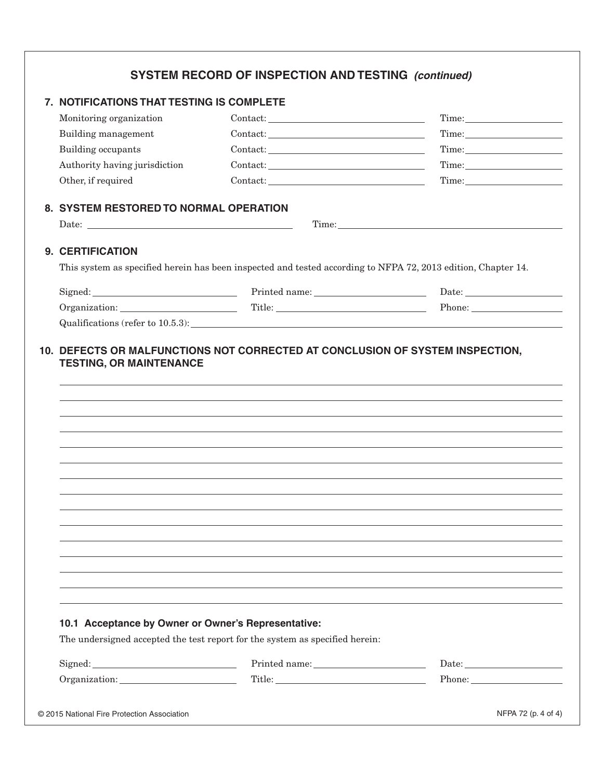| 7. NOTIFICATIONS THAT TESTING IS COMPLETE           |                                                                                                                                                                                                                                                                                                                                                                                                                                                                                                                                            |                                                                                                                                                                                                                                                                                                                                                                                   |
|-----------------------------------------------------|--------------------------------------------------------------------------------------------------------------------------------------------------------------------------------------------------------------------------------------------------------------------------------------------------------------------------------------------------------------------------------------------------------------------------------------------------------------------------------------------------------------------------------------------|-----------------------------------------------------------------------------------------------------------------------------------------------------------------------------------------------------------------------------------------------------------------------------------------------------------------------------------------------------------------------------------|
| Monitoring organization                             | $\text{Context:}\underline{\hspace{2.5cm}}\underbrace{\hspace{2.5cm}}$                                                                                                                                                                                                                                                                                                                                                                                                                                                                     |                                                                                                                                                                                                                                                                                                                                                                                   |
| Building management                                 | $\text{Context:}\underline{\hspace{2.5cm}}\underbrace{\hspace{2.5cm}}$                                                                                                                                                                                                                                                                                                                                                                                                                                                                     |                                                                                                                                                                                                                                                                                                                                                                                   |
| Building occupants                                  | $\text{Context:}\underline{\hspace{2.5cm}}\underbrace{\hspace{2.5cm}}$                                                                                                                                                                                                                                                                                                                                                                                                                                                                     |                                                                                                                                                                                                                                                                                                                                                                                   |
| Authority having jurisdiction                       | $\text{Context:}\underline{\hspace{2.5cm}}\underbrace{\hspace{2.5cm}}$                                                                                                                                                                                                                                                                                                                                                                                                                                                                     |                                                                                                                                                                                                                                                                                                                                                                                   |
| Other, if required                                  | $\text{Context:}\underline{\hspace{2.5cm}}\underline{\hspace{2.5cm}}\qquad \qquad \underline{\hspace{2.5cm}}\qquad \qquad \underline{\hspace{2.5cm}}\qquad \qquad \underline{\hspace{2.5cm}}\qquad \qquad \underline{\hspace{2.5cm}}\qquad \qquad \underline{\hspace{2.5cm}}\qquad \qquad \underline{\hspace{2.5cm}}\qquad \qquad \underline{\hspace{2.5cm}}\qquad \qquad \underline{\hspace{2.5cm}}\qquad \qquad \underline{\hspace{2.5cm}}\qquad \qquad \underline{\hspace{2.5cm}}\qquad \qquad \underline{\hspace{2.5cm}}\qquad \qquad$ | $Time: \begin{tabular}{ c c c } \hline \quad \quad & \quad \quad & \quad \quad \\ \hline \end{tabular}$                                                                                                                                                                                                                                                                           |
| 8. SYSTEM RESTORED TO NORMAL OPERATION              |                                                                                                                                                                                                                                                                                                                                                                                                                                                                                                                                            |                                                                                                                                                                                                                                                                                                                                                                                   |
|                                                     |                                                                                                                                                                                                                                                                                                                                                                                                                                                                                                                                            | Time:                                                                                                                                                                                                                                                                                                                                                                             |
| 9. CERTIFICATION                                    |                                                                                                                                                                                                                                                                                                                                                                                                                                                                                                                                            |                                                                                                                                                                                                                                                                                                                                                                                   |
|                                                     | This system as specified herein has been inspected and tested according to NFPA 72, 2013 edition, Chapter 14.                                                                                                                                                                                                                                                                                                                                                                                                                              |                                                                                                                                                                                                                                                                                                                                                                                   |
|                                                     | Signed: Date: Date: Date: Date: Date: Date: Date: Date: Date: Date: Date: Date: Date: Date: Date: Date: Date: Date: Date: Date: Date: Date: Date: Date: Date: Date: Date: Date: Date: Date: Date: Date: Date: Date: Date: Date                                                                                                                                                                                                                                                                                                             |                                                                                                                                                                                                                                                                                                                                                                                   |
|                                                     | Organization: Title: Title: Phone: Phone:                                                                                                                                                                                                                                                                                                                                                                                                                                                                                                  |                                                                                                                                                                                                                                                                                                                                                                                   |
|                                                     |                                                                                                                                                                                                                                                                                                                                                                                                                                                                                                                                            |                                                                                                                                                                                                                                                                                                                                                                                   |
| <b>TESTING, OR MAINTENANCE</b>                      | 10. DEFECTS OR MALFUNCTIONS NOT CORRECTED AT CONCLUSION OF SYSTEM INSPECTION,                                                                                                                                                                                                                                                                                                                                                                                                                                                              |                                                                                                                                                                                                                                                                                                                                                                                   |
|                                                     |                                                                                                                                                                                                                                                                                                                                                                                                                                                                                                                                            |                                                                                                                                                                                                                                                                                                                                                                                   |
|                                                     |                                                                                                                                                                                                                                                                                                                                                                                                                                                                                                                                            |                                                                                                                                                                                                                                                                                                                                                                                   |
|                                                     |                                                                                                                                                                                                                                                                                                                                                                                                                                                                                                                                            |                                                                                                                                                                                                                                                                                                                                                                                   |
|                                                     |                                                                                                                                                                                                                                                                                                                                                                                                                                                                                                                                            |                                                                                                                                                                                                                                                                                                                                                                                   |
|                                                     |                                                                                                                                                                                                                                                                                                                                                                                                                                                                                                                                            |                                                                                                                                                                                                                                                                                                                                                                                   |
|                                                     |                                                                                                                                                                                                                                                                                                                                                                                                                                                                                                                                            |                                                                                                                                                                                                                                                                                                                                                                                   |
|                                                     |                                                                                                                                                                                                                                                                                                                                                                                                                                                                                                                                            |                                                                                                                                                                                                                                                                                                                                                                                   |
|                                                     |                                                                                                                                                                                                                                                                                                                                                                                                                                                                                                                                            |                                                                                                                                                                                                                                                                                                                                                                                   |
| 10.1 Acceptance by Owner or Owner's Representative: |                                                                                                                                                                                                                                                                                                                                                                                                                                                                                                                                            |                                                                                                                                                                                                                                                                                                                                                                                   |
|                                                     | The undersigned accepted the test report for the system as specified herein:                                                                                                                                                                                                                                                                                                                                                                                                                                                               |                                                                                                                                                                                                                                                                                                                                                                                   |
|                                                     |                                                                                                                                                                                                                                                                                                                                                                                                                                                                                                                                            | ${\rm Date:} \begin{tabular}{ c c c } \hline \rule{.8cm}{.4cm} \rule{.8cm}{.4cm} \rule{.8cm}{.4cm} \rule{.8cm}{.4cm} \rule{.8cm}{.4cm} \rule{.8cm}{.4cm} \rule{.8cm}{.4cm} \rule{.8cm}{.4cm} \rule{.8cm}{.4cm} \rule{.8cm}{.4cm} \rule{.8cm}{.4cm} \rule{.8cm}{.4cm} \rule{.8cm}{.4cm} \rule{.8cm}{.4cm} \rule{.8cm}{.4cm} \rule{.8cm}{.4cm} \rule{.8cm}{.4cm} \rule{.8cm}{.4cm}$ |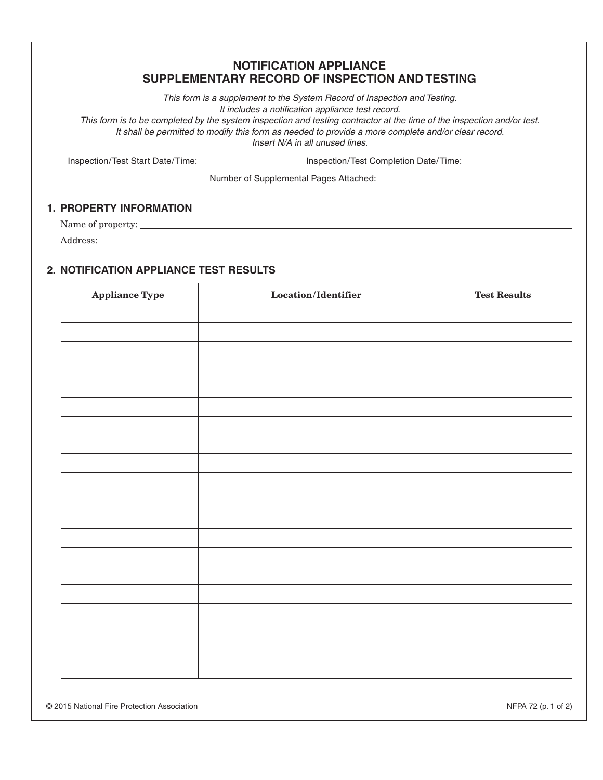# **NOTIFICATION APPLIANCE** SUPPLEMENTARY RECORD OF INSPECTION AND TESTING

This form is a supplement to the System Record of Inspection and Testing. It includes a notification appliance test record.

This form is to be completed by the system inspection and testing contractor at the time of the inspection and/or test. It shall be permitted to modify this form as needed to provide a more complete and/or clear record. Insert N/A in all unused lines.

Inspection/Test Start Date/Time: \_\_\_\_\_\_\_\_\_\_\_\_\_\_\_\_\_\_\_\_\_\_

Number of Supplemental Pages Attached: \_\_\_\_\_\_\_\_

### **1. PROPERTY INFORMATION**

Name of property:

### 2. NOTIFICATION APPLIANCE TEST RESULTS

| <b>Appliance Type</b> | $\operatorname{\mathbf{Location}}\nolimits/{\operatorname{\mathbf{Identity}}\nolimits}$ | <b>Test Results</b> |
|-----------------------|-----------------------------------------------------------------------------------------|---------------------|
|                       |                                                                                         |                     |
|                       |                                                                                         |                     |
|                       |                                                                                         |                     |
|                       |                                                                                         |                     |
|                       |                                                                                         |                     |
|                       |                                                                                         |                     |
|                       |                                                                                         |                     |
|                       |                                                                                         |                     |
|                       |                                                                                         |                     |
|                       |                                                                                         |                     |
|                       |                                                                                         |                     |
|                       |                                                                                         |                     |
|                       |                                                                                         |                     |
|                       |                                                                                         |                     |
|                       |                                                                                         |                     |
|                       |                                                                                         |                     |
|                       |                                                                                         |                     |
|                       |                                                                                         |                     |
|                       |                                                                                         |                     |
|                       |                                                                                         |                     |
|                       |                                                                                         |                     |
|                       |                                                                                         |                     |

© 2015 National Fire Protection Association

NFPA 72 (p. 1 of 2)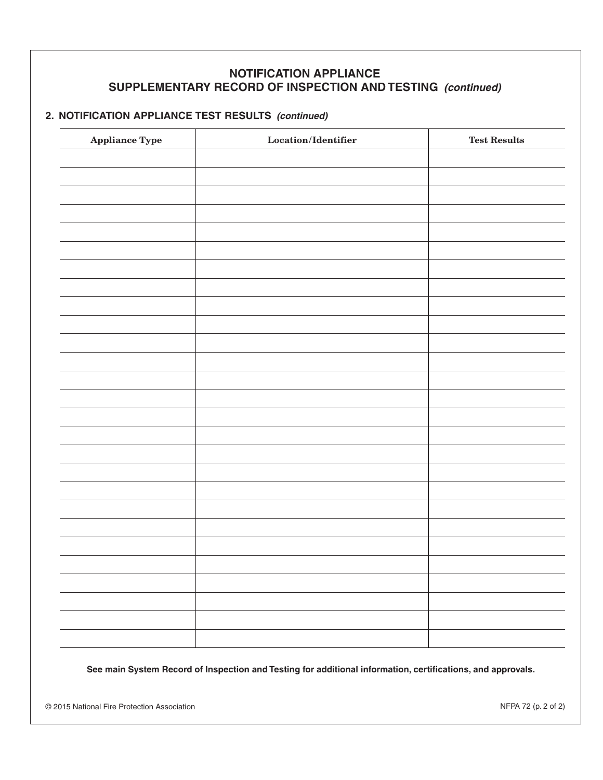# **NOTIFICATION APPLIANCE** SUPPLEMENTARY RECORD OF INSPECTION AND TESTING (continued)

# 2. NOTIFICATION APPLIANCE TEST RESULTS (continued)

| <b>Appliance Type</b> | $\operatorname{\mathsf{Location}}\nolimits/{\operatorname{\mathsf{Identity}}\nolimits}$ | $\operatorname{\mathbf{Test}}$ Results |
|-----------------------|-----------------------------------------------------------------------------------------|----------------------------------------|
|                       |                                                                                         |                                        |
|                       |                                                                                         |                                        |
|                       |                                                                                         |                                        |
|                       |                                                                                         |                                        |
|                       |                                                                                         |                                        |
|                       |                                                                                         |                                        |
|                       |                                                                                         |                                        |
|                       |                                                                                         |                                        |
|                       |                                                                                         |                                        |
|                       |                                                                                         |                                        |
|                       |                                                                                         |                                        |
|                       |                                                                                         |                                        |
|                       |                                                                                         |                                        |
|                       |                                                                                         |                                        |
|                       |                                                                                         |                                        |
|                       |                                                                                         |                                        |
|                       |                                                                                         |                                        |
|                       |                                                                                         |                                        |
|                       |                                                                                         |                                        |
|                       |                                                                                         |                                        |
|                       |                                                                                         |                                        |
|                       |                                                                                         |                                        |
|                       |                                                                                         |                                        |
|                       |                                                                                         |                                        |
|                       |                                                                                         |                                        |
|                       |                                                                                         |                                        |

See main System Record of Inspection and Testing for additional information, certifications, and approvals.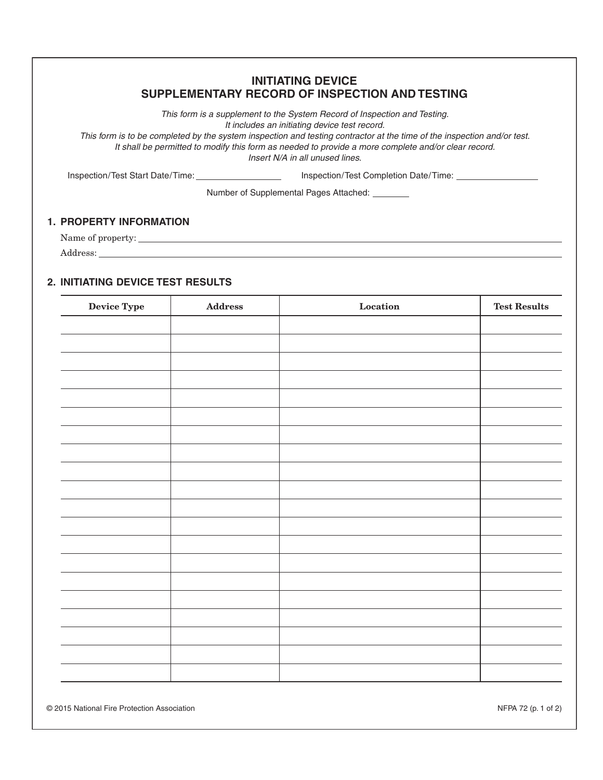### **INITIATING DEVICE** SUPPLEMENTARY RECORD OF INSPECTION AND TESTING

This form is a supplement to the System Record of Inspection and Testing. It includes an initiating device test record.

This form is to be completed by the system inspection and testing contractor at the time of the inspection and/or test. It shall be permitted to modify this form as needed to provide a more complete and/or clear record. Insert N/A in all unused lines.

Inspection/Test Start Date/Time: 

Number of Supplemental Pages Attached: \_\_\_\_\_\_\_\_

#### **1. PROPERTY INFORMATION**

# 2. INITIATING DEVICE TEST RESULTS

| <b>Device Type</b> | $\large\bf Address$ | $\label{eq:1} \textbf{Location}$ | <b>Test Results</b> |
|--------------------|---------------------|----------------------------------|---------------------|
|                    |                     |                                  |                     |
|                    |                     |                                  |                     |
|                    |                     |                                  |                     |
|                    |                     |                                  |                     |
|                    |                     |                                  |                     |
|                    |                     |                                  |                     |
|                    |                     |                                  |                     |
|                    |                     |                                  |                     |
|                    |                     |                                  |                     |
|                    |                     |                                  |                     |
|                    |                     |                                  |                     |
|                    |                     |                                  |                     |
|                    |                     |                                  |                     |
|                    |                     |                                  |                     |
|                    |                     |                                  |                     |
|                    |                     |                                  |                     |
|                    |                     |                                  |                     |
|                    |                     |                                  |                     |
|                    |                     |                                  |                     |
|                    |                     |                                  |                     |